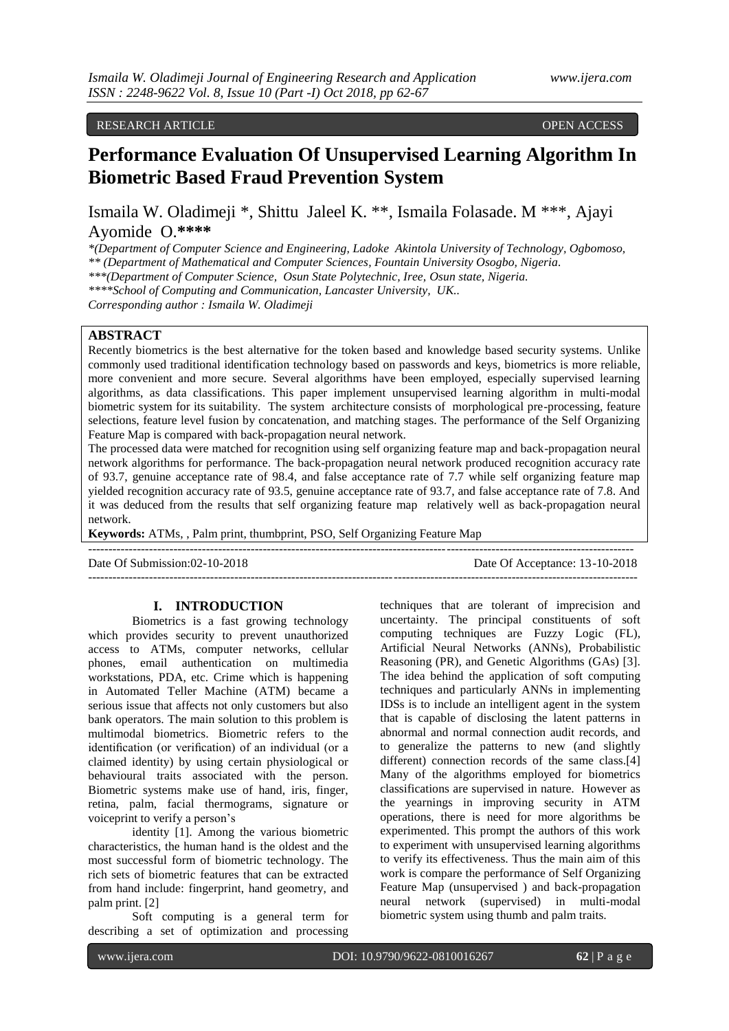## RESEARCH ARTICLE **CONSERVERS** OPEN ACCESS **OPEN**

# **Performance Evaluation Of Unsupervised Learning Algorithm In Biometric Based Fraud Prevention System**

Ismaila W. Oladimeji \*, Shittu Jaleel K. \*\*, Ismaila Folasade. M \*\*\*, Ajayi Ayomide O.**\*\*\*\***

*\*(Department of Computer Science and Engineering, Ladoke Akintola University of Technology, Ogbomoso, \*\* (Department of Mathematical and Computer Sciences, Fountain University Osogbo, Nigeria.*

*\*\*\*(Department of Computer Science, Osun State Polytechnic, Iree, Osun state, Nigeria.*

*\*\*\*\*School of Computing and Communication, Lancaster University, UK..* 

*Corresponding author : Ismaila W. Oladimeji*

# **ABSTRACT**

Recently biometrics is the best alternative for the token based and knowledge based security systems. Unlike commonly used traditional identification technology based on passwords and keys, biometrics is more reliable, more convenient and more secure. Several algorithms have been employed, especially supervised learning algorithms, as data classifications. This paper implement unsupervised learning algorithm in multi-modal biometric system for its suitability. The system architecture consists of morphological pre-processing, feature selections, feature level fusion by concatenation, and matching stages. The performance of the Self Organizing Feature Map is compared with back-propagation neural network.

The processed data were matched for recognition using self organizing feature map and back-propagation neural network algorithms for performance. The back-propagation neural network produced recognition accuracy rate of 93.7, genuine acceptance rate of 98.4, and false acceptance rate of 7.7 while self organizing feature map yielded recognition accuracy rate of 93.5, genuine acceptance rate of 93.7, and false acceptance rate of 7.8. And it was deduced from the results that self organizing feature map relatively well as back-propagation neural network.

**Keywords:** ATMs, , Palm print, thumbprint, PSO, Self Organizing Feature Map

Date Of Submission:02-10-2018 Date Of Acceptance: 13-10-2018

-------------------------------------------------------------------------------------------------------------------------------------- ---------------------------------------------------------------------------------------------------------------------------------------

## **I. INTRODUCTION**

Biometrics is a fast growing technology which provides security to prevent unauthorized access to ATMs, computer networks, cellular phones, email authentication on multimedia workstations, PDA, etc. Crime which is happening in Automated Teller Machine (ATM) became a serious issue that affects not only customers but also bank operators. The main solution to this problem is multimodal biometrics. Biometric refers to the identification (or verification) of an individual (or a claimed identity) by using certain physiological or behavioural traits associated with the person. Biometric systems make use of hand, iris, finger, retina, palm, facial thermograms, signature or voiceprint to verify a person"s

identity [1]. Among the various biometric characteristics, the human hand is the oldest and the most successful form of biometric technology. The rich sets of biometric features that can be extracted from hand include: fingerprint, hand geometry, and palm print. [2]

Soft computing is a general term for describing a set of optimization and processing

techniques that are tolerant of imprecision and uncertainty. The principal constituents of soft computing techniques are Fuzzy Logic (FL), Artificial Neural Networks (ANNs), Probabilistic Reasoning (PR), and Genetic Algorithms (GAs) [3]. The idea behind the application of soft computing techniques and particularly ANNs in implementing IDSs is to include an intelligent agent in the system that is capable of disclosing the latent patterns in abnormal and normal connection audit records, and to generalize the patterns to new (and slightly different) connection records of the same class.<sup>[4]</sup> Many of the algorithms employed for biometrics classifications are supervised in nature. However as the yearnings in improving security in ATM operations, there is need for more algorithms be experimented. This prompt the authors of this work to experiment with unsupervised learning algorithms to verify its effectiveness. Thus the main aim of this work is compare the performance of Self Organizing Feature Map (unsupervised ) and back-propagation neural network (supervised) in multi-modal biometric system using thumb and palm traits.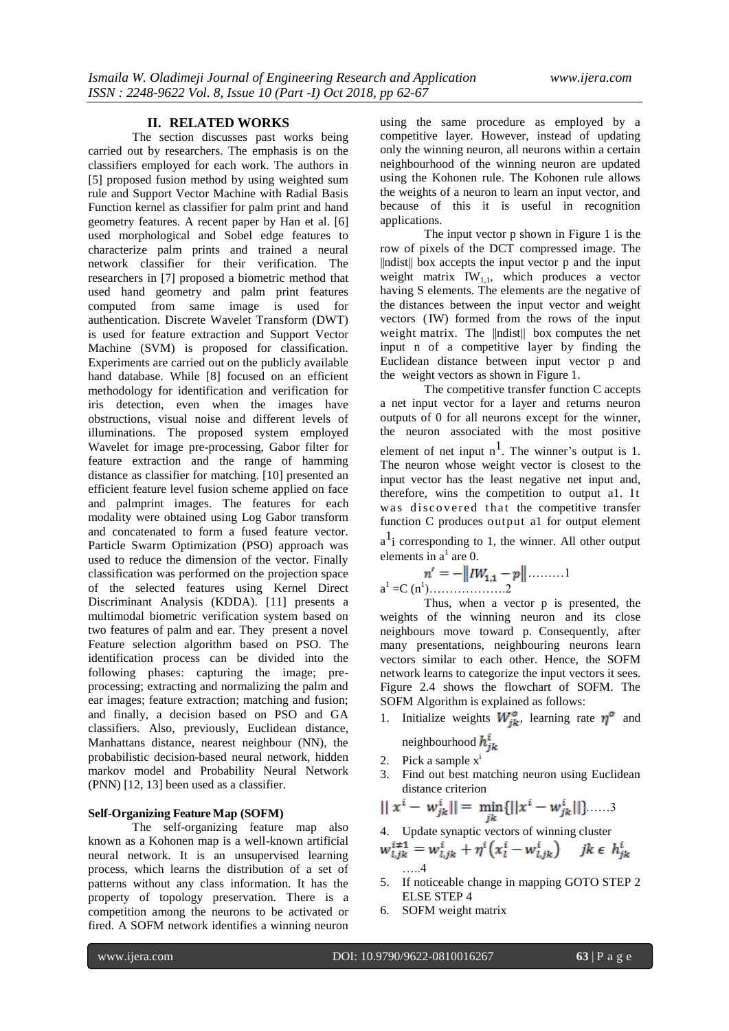#### **II. RELATED WORKS**

The section discusses past works being carried out by researchers. The emphasis is on the classifiers employed for each work. The authors in [5] proposed fusion method by using weighted sum rule and Support Vector Machine with Radial Basis Function kernel as classifier for palm print and hand geometry features. A recent paper by Han et al. [6] used morphological and Sobel edge features to characterize palm prints and trained a neural network classifier for their verification. The researchers in [7] proposed a biometric method that used hand geometry and palm print features computed from same image is used for authentication. Discrete Wavelet Transform (DWT) is used for feature extraction and Support Vector Machine (SVM) is proposed for classification. Experiments are carried out on the publicly available hand database. While [8] focused on an efficient methodology for identification and verification for iris detection, even when the images have obstructions, visual noise and different levels of illuminations. The proposed system employed Wavelet for image pre-processing, Gabor filter for feature extraction and the range of hamming distance as classifier for matching. [10] presented an efficient feature level fusion scheme applied on face and palmprint images. The features for each modality were obtained using Log Gabor transform and concatenated to form a fused feature vector. Particle Swarm Optimization (PSO) approach was used to reduce the dimension of the vector. Finally classification was performed on the projection space of the selected features using Kernel Direct Discriminant Analysis (KDDA). [11] presents a multimodal biometric verification system based on two features of palm and ear. They present a novel Feature selection algorithm based on PSO. The identification process can be divided into the following phases: capturing the image; preprocessing; extracting and normalizing the palm and ear images; feature extraction; matching and fusion; and finally, a decision based on PSO and GA classifiers. Also, previously, Euclidean distance, Manhattans distance, nearest neighbour (NN), the probabilistic decision-based neural network, hidden markov model and Probability Neural Network (PNN) [12, 13] been used as a classifier.

### **Self-Organizing Feature Map (SOFM)**

The self-organizing feature map also known as a Kohonen map is a well-known artificial neural network. It is an unsupervised learning process, which learns the distribution of a set of patterns without any class information. It has the property of topology preservation. There is a competition among the neurons to be activated or fired. A SOFM network identifies a winning neuron

using the same procedure as employed by a competitive layer. However, instead of updating only the winning neuron, all neurons within a certain neighbourhood of the winning neuron are updated using the Kohonen rule. The Kohonen rule allows the weights of a neuron to learn an input vector, and because of this it is useful in recognition applications.

The input vector p shown in Figure 1 is the row of pixels of the DCT compressed image. The ||ndist|| box accepts the input vector p and the input weight matrix  $IW_{1,1}$ , which produces a vector having S elements. The elements are the negative of the distances between the input vector and weight vectors (IW) formed from the rows of the input weight matrix. The  $\|\text{ndist}\|$  box computes the net input n of a competitive layer by finding the Euclidean distance between input vector p and the weight vectors as shown in Figure 1.

The competitive transfer function C accepts a net input vector for a layer and returns neuron outputs of 0 for all neurons except for the winner, the neuron associated with the most positive element of net input  $n^1$ . The winner's output is 1. The neuron whose weight vector is closest to the input vector has the least negative net input and, therefore, wins the competition to output a1. It was discovered that the competitive transfer function C produces output a1 for output element

 $a<sup>1</sup>$  i corresponding to 1, the winner. All other output elements in  $a^1$  are 0.

$$
n' = -\|IW_{1,1} - p\| \dots \dots 1
$$
  
a<sup>1</sup> = C (n<sup>1</sup>).........2

Thus, when a vector p is presented, the weights of the winning neuron and its close neighbours move toward p. Consequently, after many presentations, neighbouring neurons learn vectors similar to each other. Hence, the SOFM network learns to categorize the input vectors it sees. Figure 2.4 shows the flowchart of SOFM. The SOFM Algorithm is explained as follows:

- 1. Initialize weights  $W_{ik}^{\circ}$ , learning rate  $\eta^{\circ}$  and neighbourhood  $h_{ik}^{\nu}$
- 2. Pick a sample  $x^i$
- 3. Find out best matching neuron using Euclidean distance criterion

$$
|| x^{i} - w_{jk}^{i} || = \min_{jk} {||x^{i} - w_{jk}^{i}||} \dots .3
$$

4. Update synaptic vectors of winning cluster

$$
w_{i,jk}^{i\neq 1} = w_{i,jk}^i + \eta^i (x_i^i - w_{i,jk}^i) \quad jk \in h_{jk}^i
$$
  
....4

- 5. If noticeable change in mapping GOTO STEP 2 ELSE STEP 4
- 6. SOFM weight matrix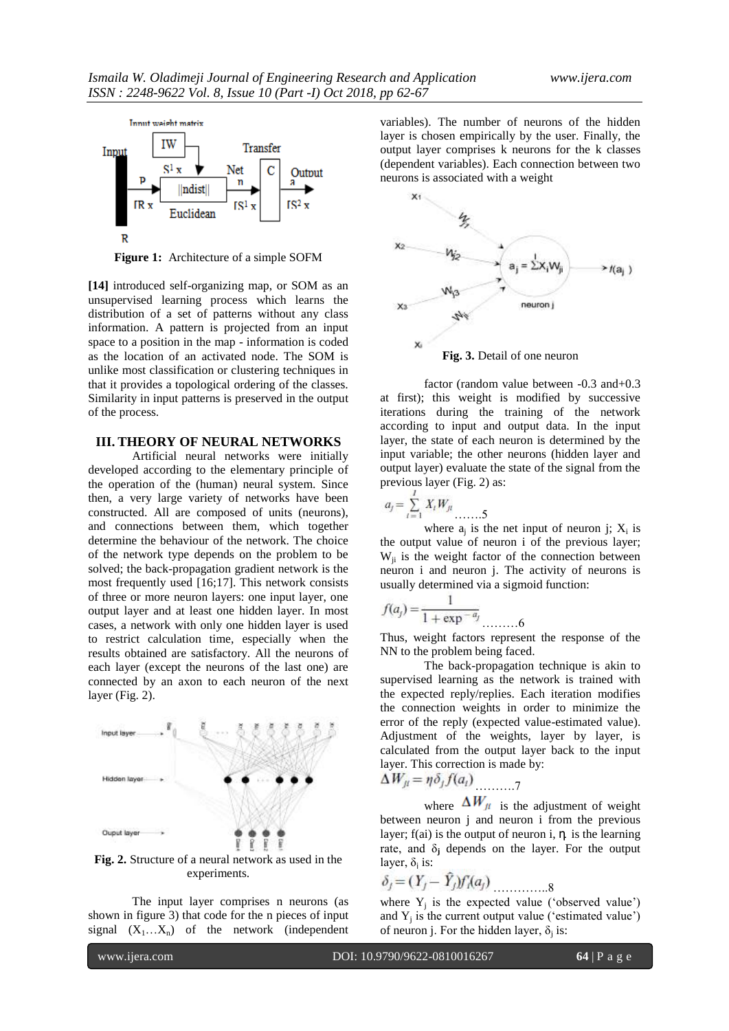

**Figure 1:** Architecture of a simple SOFM

**[14]** introduced self-organizing map, or SOM as an unsupervised learning process which learns the distribution of a set of patterns without any class information. A pattern is projected from an input space to a position in the map - information is coded as the location of an activated node. The SOM is unlike most classification or clustering techniques in that it provides a topological ordering of the classes. Similarity in input patterns is preserved in the output of the process.

# **III. THEORY OF NEURAL NETWORKS**

Artificial neural networks were initially developed according to the elementary principle of the operation of the (human) neural system. Since then, a very large variety of networks have been constructed. All are composed of units (neurons), and connections between them, which together determine the behaviour of the network. The choice of the network type depends on the problem to be solved; the back-propagation gradient network is the most frequently used [16;17]. This network consists of three or more neuron layers: one input layer, one output layer and at least one hidden layer. In most cases, a network with only one hidden layer is used to restrict calculation time, especially when the results obtained are satisfactory. All the neurons of each layer (except the neurons of the last one) are connected by an axon to each neuron of the next layer (Fig. 2).



**Fig. 2.** Structure of a neural network as used in the experiments.

The input layer comprises n neurons (as shown in figure 3) that code for the n pieces of input signal  $(X_1...X_n)$  of the network (independent

variables). The number of neurons of the hidden layer is chosen empirically by the user. Finally, the output layer comprises k neurons for the k classes (dependent variables). Each connection between two neurons is associated with a weight



**Fig. 3.** Detail of one neuron

factor (random value between -0.3 and+0.3 at first); this weight is modified by successive iterations during the training of the network according to input and output data. In the input layer, the state of each neuron is determined by the input variable; the other neurons (hidden layer and output layer) evaluate the state of the signal from the previous layer (Fig. 2) as:

$$
a_j = \sum_{i=1}^{r} X_i W_{ji}
$$

where  $a_j$  is the net input of neuron j;  $X_i$  is the output value of neuron i of the previous layer;  $W_{ii}$  is the weight factor of the connection between neuron i and neuron j. The activity of neurons is usually determined via a sigmoid function:

$$
f(a_j) = \frac{1}{1 + \exp^{-a_j} \dots}
$$

Thus, weight factors represent the response of the NN to the problem being faced.

………6

The back-propagation technique is akin to supervised learning as the network is trained with the expected reply/replies. Each iteration modifies the connection weights in order to minimize the error of the reply (expected value-estimated value). Adjustment of the weights, layer by layer, is calculated from the output layer back to the input layer. This correction is made by:

$$
\Delta W_{ji} = \eta \delta_j f(a_i) \tag{7}
$$

where  $\Delta W_{\mu}$  is the adjustment of weight between neuron j and neuron i from the previous layer;  $f(ai)$  is the output of neuron i,  $\eta$  is the learning rate, and  $\delta_i$  depends on the layer. For the output layer,  $\delta_i$  is:

$$
\delta_j = (Y_j - \hat{Y}_j) f'_i(a_j) \tag{8}
$$

where  $Y_j$  is the expected value ('observed value') and  $Y_j$  is the current output value ('estimated value') of neuron j. For the hidden layer,  $\delta_j$  is: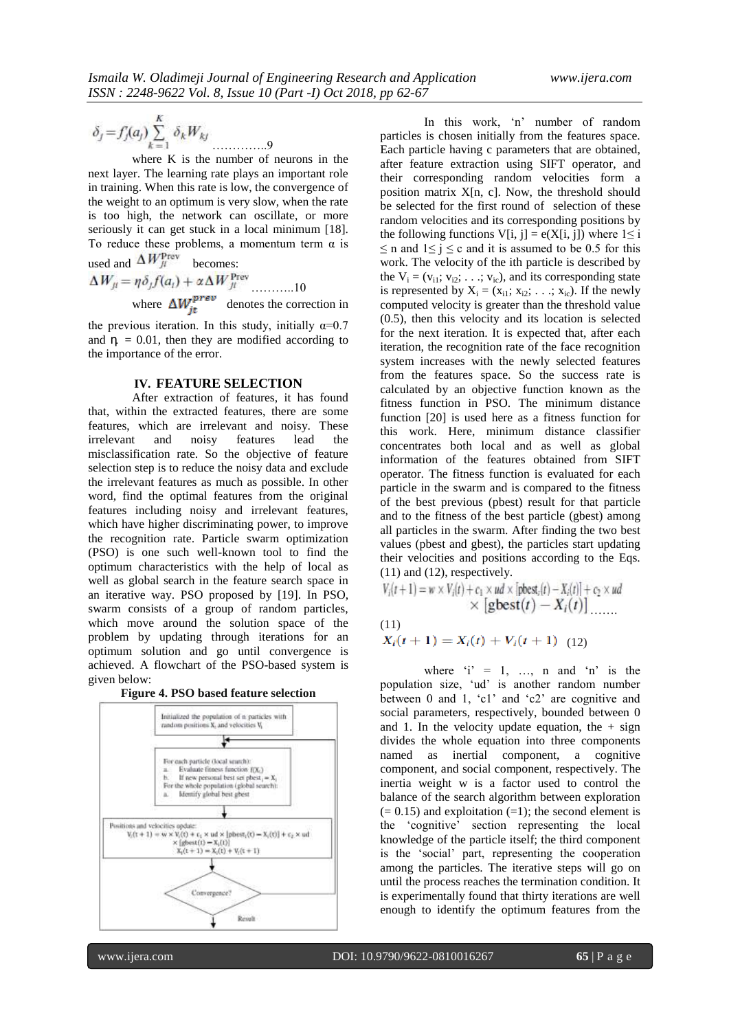$$
\delta_j = f_j'(a_j) \sum_{k=1}^K \delta_k W_{kj}
$$

where K is the number of neurons in the next layer. The learning rate plays an important role in training. When this rate is low, the convergence of the weight to an optimum is very slow, when the rate is too high, the network can oscillate, or more seriously it can get stuck in a local minimum [18]. To reduce these problems, a momentum term  $\alpha$  is

used and 
$$
\Delta W_{ji}
$$
 becomes:  
\n
$$
\Delta W_{ji} = \eta \delta_j f(a_i) + \alpha \Delta W_{ji}^{\text{prev}} \dots \dots \dots 10
$$
\nwhere  $\Delta W_{it}^{\text{prev}}$  denotes the correction in

the previous iteration. In this study, initially  $\alpha=0.7$ and  $\eta = 0.01$ , then they are modified according to the importance of the error.

## **IV. FEATURE SELECTION**

After extraction of features, it has found that, within the extracted features, there are some features, which are irrelevant and noisy. These irrelevant and noisy features lead the misclassification rate. So the objective of feature selection step is to reduce the noisy data and exclude the irrelevant features as much as possible. In other word, find the optimal features from the original features including noisy and irrelevant features, which have higher discriminating power, to improve the recognition rate. Particle swarm optimization (PSO) is one such well-known tool to find the optimum characteristics with the help of local as well as global search in the feature search space in an iterative way. PSO proposed by [19]. In PSO, swarm consists of a group of random particles, which move around the solution space of the problem by updating through iterations for an optimum solution and go until convergence is achieved. A flowchart of the PSO-based system is given below:





In this work, "n" number of random particles is chosen initially from the features space. Each particle having c parameters that are obtained, after feature extraction using SIFT operator, and their corresponding random velocities form a position matrix X[n, c]. Now, the threshold should be selected for the first round of selection of these random velocities and its corresponding positions by the following functions V[i, j] =  $e(X[i, j])$  where  $1 \le i$  $\leq$  n and  $1 \leq j \leq c$  and it is assumed to be 0.5 for this work. The velocity of the ith particle is described by the  $V_i = (v_{i1}; v_{i2}; \ldots; v_{ic})$ , and its corresponding state is represented by  $X_i = (x_{i1}; x_{i2}; \ldots; x_{ic})$ . If the newly computed velocity is greater than the threshold value (0.5), then this velocity and its location is selected for the next iteration. It is expected that, after each iteration, the recognition rate of the face recognition system increases with the newly selected features from the features space. So the success rate is calculated by an objective function known as the fitness function in PSO. The minimum distance function [20] is used here as a fitness function for this work. Here, minimum distance classifier concentrates both local and as well as global information of the features obtained from SIFT operator. The fitness function is evaluated for each particle in the swarm and is compared to the fitness of the best previous (pbest) result for that particle and to the fitness of the best particle (gbest) among all particles in the swarm. After finding the two best values (pbest and gbest), the particles start updating their velocities and positions according to the Eqs. (11) and (12), respectively.

$$
V_i(t+1) = w \times V_i(t) + c_1 \times ud \times [\text{pbest}_i(t) - X_i(t)] + c_2 \times ud
$$
  
 
$$
\times [\text{gbest}(t) - X_i(t)] \dots
$$
  
(11)

$$
X_i(t+1) = X_i(t) + V_i(t+1)
$$
 (12)

where  $i' = 1, \ldots, n$  and  $n'$  is the population size, "ud" is another random number between 0 and 1, 'c1' and 'c2' are cognitive and social parameters, respectively, bounded between 0 and 1. In the velocity update equation, the  $+$  sign divides the whole equation into three components named as inertial component, a cognitive component, and social component, respectively. The inertia weight w is a factor used to control the balance of the search algorithm between exploration  $(= 0.15)$  and exploitation  $(=1)$ ; the second element is the "cognitive" section representing the local knowledge of the particle itself; the third component is the "social" part, representing the cooperation among the particles. The iterative steps will go on until the process reaches the termination condition. It is experimentally found that thirty iterations are well enough to identify the optimum features from the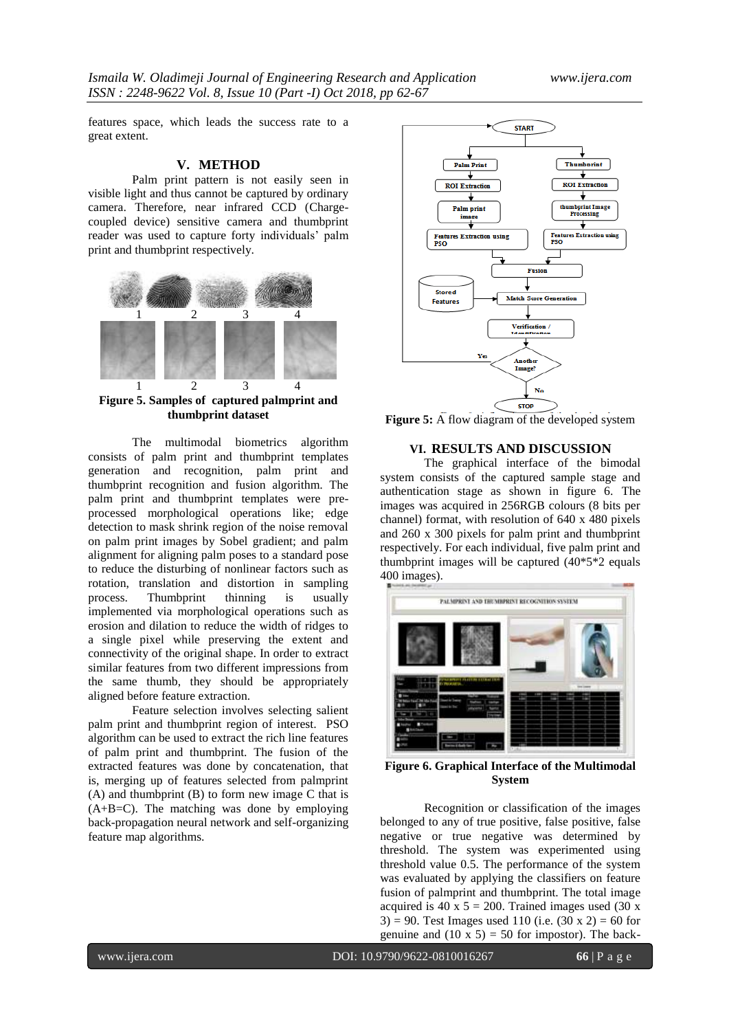features space, which leads the success rate to a great extent.

### **V. METHOD**

Palm print pattern is not easily seen in visible light and thus cannot be captured by ordinary camera. Therefore, near infrared CCD [\(Charge](https://en.wikipedia.org/wiki/Charge-coupled_device)[coupled device\)](https://en.wikipedia.org/wiki/Charge-coupled_device) sensitive camera and thumbprint reader was used to capture forty individuals" palm print and thumbprint respectively.



**Figure 5. Samples of captured palmprint and thumbprint dataset**

The multimodal biometrics algorithm consists of palm print and thumbprint templates generation and recognition, palm print and thumbprint recognition and fusion algorithm. The palm print and thumbprint templates were preprocessed morphological operations like; edge detection to mask shrink region of the noise removal on palm print images by Sobel gradient; and palm alignment for aligning palm poses to a standard pose to reduce the disturbing of nonlinear factors such as rotation, translation and distortion in sampling process. Thumbprint thinning is usually implemented via morphological operations such as erosion and dilation to reduce the width of ridges to a single pixel while preserving the extent and connectivity of the original shape. In order to extract similar features from two different impressions from the same thumb, they should be appropriately aligned before feature extraction.

Feature selection involves selecting salient palm print and thumbprint region of interest. PSO algorithm can be used to extract the rich line features of palm print and thumbprint. The fusion of the extracted features was done by concatenation, that is, merging up of features selected from palmprint (A) and thumbprint (B) to form new image C that is  $(A+B=C)$ . The matching was done by employing back-propagation neural network and self-organizing feature map algorithms.



**Figure 5:** A flow diagram of the developed system

# **VI. RESULTS AND DISCUSSION**

The graphical interface of the bimodal system consists of the captured sample stage and authentication stage as shown in figure 6. The images was acquired in 256RGB colours (8 bits per channel) format, with resolution of 640 x 480 pixels and 260 x 300 pixels for palm print and thumbprint respectively. For each individual, five palm print and thumbprint images will be captured  $(40*5*2)$  equals 400 images).



**Figure 6. Graphical Interface of the Multimodal System**

Recognition or classification of the images belonged to any of true positive, false positive, false negative or true negative was determined by threshold. The system was experimented using threshold value 0.5. The performance of the system was evaluated by applying the classifiers on feature fusion of palmprint and thumbprint. The total image acquired is 40 x  $5 = 200$ . Trained images used (30 x) 3) = 90. Test Images used 110 (i.e.  $(30 \times 2) = 60$  for genuine and  $(10 \times 5) = 50$  for impostor). The back-